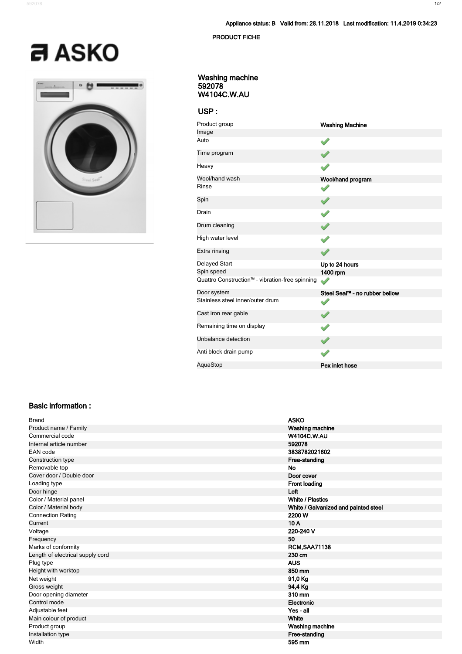## **Appliance status: B Valid from: 28.11.2018 Last modification: 11.4.2019 0:34:23**

#### **PRODUCT FICHE**

# $a$  ASKO



## **592078 W4104C.W.AU Washing machine**

# **USP :**

| Product group                                   | <b>Washing Machine</b>                     |
|-------------------------------------------------|--------------------------------------------|
| Image                                           |                                            |
| Auto                                            |                                            |
| Time program                                    |                                            |
| Heavy                                           |                                            |
| Wool/hand wash                                  | Wool/hand program                          |
| Rinse                                           |                                            |
| Spin                                            |                                            |
| Drain                                           |                                            |
| Drum cleaning                                   |                                            |
| High water level                                |                                            |
| Extra rinsing                                   |                                            |
| Delayed Start                                   | Up to 24 hours                             |
| Spin speed                                      | 1400 rpm                                   |
| Quattro Construction™ - vibration-free spinning |                                            |
| Door system                                     | Steel Seal <sup>m</sup> - no rubber bellow |
| Stainless steel inner/outer drum                |                                            |
| Cast iron rear gable                            |                                            |
| Remaining time on display                       |                                            |
| Unbalance detection                             |                                            |
| Anti block drain pump                           |                                            |
| AquaStop                                        | Pex inlet hose                             |

## **Basic information :**

| <b>Brand</b>                     | <b>ASKO</b>                          |
|----------------------------------|--------------------------------------|
| Product name / Family            | <b>Washing machine</b>               |
| Commercial code                  | <b>W4104C.W.AU</b>                   |
| Internal article number          | 592078                               |
| EAN code                         | 3838782021602                        |
| Construction type                | Free-standing                        |
| Removable top                    | <b>No</b>                            |
| Cover door / Double door         | Door cover                           |
| Loading type                     | <b>Front loading</b>                 |
| Door hinge                       | Left                                 |
| Color / Material panel           | <b>White / Plastics</b>              |
| Color / Material body            | White / Galvanized and painted steel |
| <b>Connection Rating</b>         | 2200 W                               |
| Current                          | 10A                                  |
| Voltage                          | 220-240 V                            |
| Frequency                        | 50                                   |
| Marks of conformity              | <b>RCM, SAA71138</b>                 |
| Length of electrical supply cord | 230 cm                               |
| Plug type                        | <b>AUS</b>                           |
| Height with worktop              | 850 mm                               |
| Net weight                       | 91,0 Kg                              |
| Gross weight                     | 94,4 Kg                              |
| Door opening diameter            | 310 mm                               |
| Control mode                     | Electronic                           |
| Adjustable feet                  | Yes - all                            |
| Main colour of product           | White                                |
| Product group                    | Washing machine                      |
| Installation type                | Free-standing                        |
| Width                            | 595 mm                               |